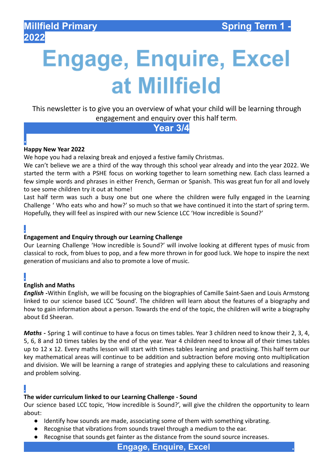# **Engage, Enquire, Excel** at Millfield

This newsletter is to give you an overview of what your child will be learning through engagement and enquiry over this half term*.*

# **Year 3/4**

### **Happy New Year 2022**

We hope you had a relaxing break and enjoyed a festive family Christmas.

We can't believe we are a third of the way through this school year already and into the year 2022. We started the term with a PSHE focus on working together to learn something new. Each class learned a few simple words and phrases in either French, German or Spanish. This was great fun for all and lovely to see some children try it out at home!

Last half term was such a busy one but one where the children were fully engaged in the Learning Challenge ' Who eats who and how?' so much so that we have continued it into the start of spring term. Hopefully, they will feel as inspired with our new Science LCC 'How incredible is Sound?'

# **.**

**.**

#### **Engagement and Enquiry through our Learning Challenge**

Our Learning Challenge 'How incredible is Sound?' will involve looking at different types of music from classical to rock, from blues to pop, and a few more thrown in for good luck. We hope to inspire the next generation of musicians and also to promote a love of music.

## **.**

#### **English and Maths**

*English -*Within English, we will be focusing on the biographies of Camille Saint-Saen and Louis Armstong linked to our science based LCC 'Sound'. The children will learn about the features of a biography and how to gain information about a person. Towards the end of the topic, the children will write a biography about Ed Sheeran.

*Maths -* Spring 1 will continue to have a focus on times tables. Year 3 children need to know their 2, 3, 4, 5, 6, 8 and 10 times tables by the end of the year. Year 4 children need to know all of their times tables up to 12 x 12. Every maths lesson will start with times tables learning and practising. This half term our key mathematical areas will continue to be addition and subtraction before moving onto multiplication and division. We will be learning a range of strategies and applying these to calculations and reasoning and problem solving.

## **.**

#### **The wider curriculum linked to our Learning Challenge - Sound**

Our science based LCC topic, 'How incredible is Sound?', will give the children the opportunity to learn about:

- Identify how sounds are made, associating some of them with something vibrating.
- Recognise that vibrations from sounds travel through a medium to the ear.
- Recognise that sounds get fainter as the distance from the sound source increases.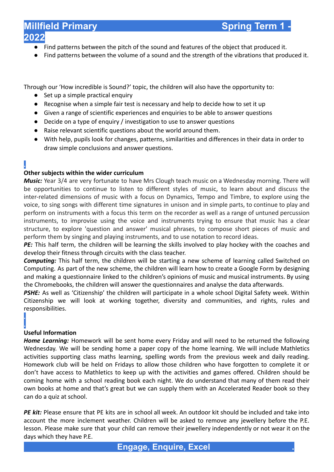# **Millfield Primary Spring Term 1 - 2022**

- Find patterns between the pitch of the sound and features of the object that produced it.
- Find patterns between the volume of a sound and the strength of the vibrations that produced it.

Through our 'How incredible is Sound?' topic, the children will also have the opportunity to:

- **●** Set up a simple practical enquiry
- **●** Recognise when a simple fair test is necessary and help to decide how to set it up
- **●** Given a range of scientific experiences and enquiries to be able to answer questions
- **●** Decide on a type of enquiry / investigation to use to answer questions
- **●** Raise relevant scientific questions about the world around them.
- With help, pupils look for changes, patterns, similarities and differences in their data in order to draw simple conclusions and answer questions.

# **.**

## **Other subjects within the wider curriculum**

*Music:* Year 3/4 are very fortunate to have Mrs Clough teach music on a Wednesday morning. There will be opportunities to continue to listen to different styles of music, to learn about and discuss the inter-related dimensions of music with a focus on Dynamics, Tempo and Timbre, to explore using the voice, to sing songs with different time signatures in unison and in simple parts, to continue to play and perform on instruments with a focus this term on the recorder as well as a range of untuned percussion instruments, to improvise using the voice and instruments trying to ensure that music has a clear structure, to explore 'question and answer' musical phrases, to compose short pieces of music and perform them by singing and playing instruments, and to use notation to record ideas.

**PE:** This half term, the children will be learning the skills involved to play hockey with the coaches and develop their fitness through circuits with the class teacher.

*Computing:* This half term, the children will be starting a new scheme of learning called Switched on Computing. As part of the new scheme, the children will learn how to create a Google Form by designing and making a questionnaire linked to the children's opinions of music and musical instruments. By using the Chromebooks, the children will answer the questionnaires and analyse the data afterwards.

PSHE: As well as 'Citizenship' the children will participate in a whole school Digital Safety week. Within Citizenship we will look at working together, diversity and communities, and rights, rules and responsibilities.

## **Useful Information**

**. .**

*Home Learning:* Homework will be sent home every Friday and will need to be returned the following Wednesday. We will be sending home a paper copy of the home learning. We will include Mathletics activities supporting class maths learning, spelling words from the previous week and daily reading. Homework club will be held on Fridays to allow those children who have forgotten to complete it or don't have access to Mathletics to keep up with the activities and games offered. Children should be coming home with a school reading book each night. We do understand that many of them read their own books at home and that's great but we can supply them with an Accelerated Reader book so they can do a quiz at school.

*PE kit:* Please ensure that PE kits are in school all week. An outdoor kit should be included and take into account the more inclement weather. Children will be asked to remove any jewellery before the P.E. lesson. Please make sure that your child can remove their jewellery independently or not wear it on the days which they have P.E.